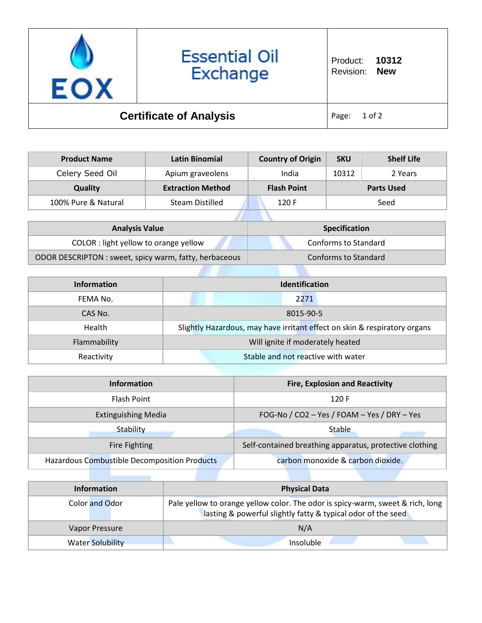

| <b>Product Name</b> | Latin Binomial           | <b>Country of Origin</b> | <b>SKU</b> | <b>Shelf Life</b> |
|---------------------|--------------------------|--------------------------|------------|-------------------|
| Celery Seed Oil     | Apium graveolens         | India                    | 10312      | 2 Years           |
| Quality             | <b>Extraction Method</b> | <b>Flash Point</b>       |            | <b>Parts Used</b> |
| 100% Pure & Natural | <b>Steam Distilled</b>   | 120 F                    |            | Seed              |
|                     |                          |                          |            |                   |

| <b>Analysis Value</b>                                  | <b>Specification</b> |
|--------------------------------------------------------|----------------------|
| COLOR : light yellow to orange yellow                  | Conforms to Standard |
| ODOR DESCRIPTON : sweet, spicy warm, fatty, herbaceous | Conforms to Standard |

| Information  | <b>Identification</b>                                                     |  |
|--------------|---------------------------------------------------------------------------|--|
| FEMA No.     | 2271                                                                      |  |
| CAS No.      | 8015-90-5                                                                 |  |
| Health       | Slightly Hazardous, may have irritant effect on skin & respiratory organs |  |
| Flammability | Will ignite if moderately heated                                          |  |
| Reactivity   | Stable and not reactive with water                                        |  |

| <b>Information</b>                           | <b>Fire, Explosion and Reactivity</b>                   |
|----------------------------------------------|---------------------------------------------------------|
| Flash Point                                  | 120 F                                                   |
| <b>Extinguishing Media</b>                   | FOG-No / CO2 - Yes / FOAM - Yes / DRY - Yes             |
| Stability                                    | <b>Stable</b>                                           |
| Fire Fighting                                | Self-contained breathing apparatus, protective clothing |
| Hazardous Combustible Decomposition Products | carbon monoxide & carbon dioxide.                       |

| <b>Information</b>      | <b>Physical Data</b>                                                                                                                           |
|-------------------------|------------------------------------------------------------------------------------------------------------------------------------------------|
| Color and Odor          | Pale yellow to orange yellow color. The odor is spicy-warm, sweet & rich, long<br>lasting & powerful slightly fatty & typical odor of the seed |
| Vapor Pressure          | N/A                                                                                                                                            |
| <b>Water Solubility</b> | Insoluble                                                                                                                                      |